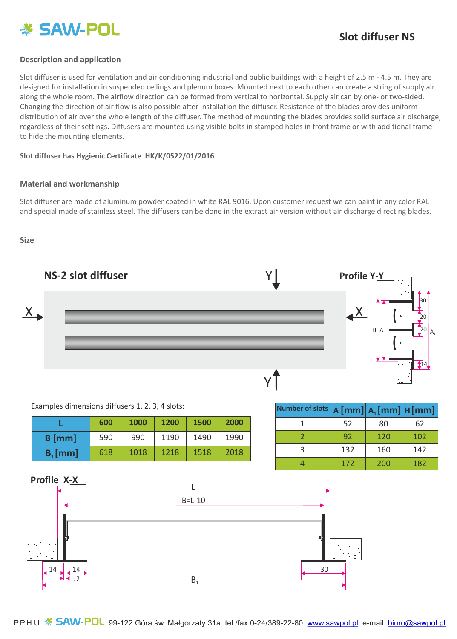

# **Description and application**

Slot diffuser is used for ventilation and air conditioning industrial and public buildings with a height of 2.5 m - 4.5 m. They are designed for installation in suspended ceilings and plenum boxes. Mounted next to each other can create a string of supply air along the whole room. The airflow direction can be formed from vertical to horizontal. Supply air can by one- or two-sided. Changing the direction of air flow is also possible after installation the diffuser. Resistance of the blades provides uniform distribution of air over the whole length of the diffuser. The method of mounting the blades provides solid surface air discharge, regardless of their settings. Diffusers are mounted using visible bolts in stamped holes in front frame or with additional frame to hide the mounting elements.

**Slot diffuser has Hygienic Certificate HK/K/0522/01/2016**

#### **Material and workmanship**

Slot diffuser are made of aluminum powder coated in white RAL 9016. Upon customer request we can paint in any color RAL and special made of stainless steel. The diffusers can be done in the extract air version without air discharge directing blades.

#### **Size**



| 2000 |   | 52  | 80  | 62                                                     |
|------|---|-----|-----|--------------------------------------------------------|
| 1990 |   | 92  | 120 | 102                                                    |
| 2018 | 3 | 132 | 160 | 142                                                    |
|      | 4 | 172 | 200 | 182                                                    |
|      |   |     |     | Number of slots   A [mm]   A <sub>1</sub> [mm]   H [mr |



# **Profile X-X**

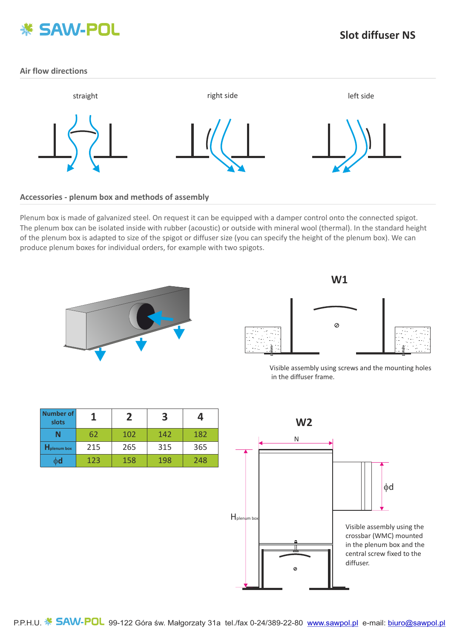

## **Air flow directions**



# **Accessories - plenum box and methods of assembly**

Plenum box is made of galvanized steel. On request it can be equipped with a damper control onto the connected spigot. The plenum box can be isolated inside with rubber (acoustic) or outside with mineral wool (thermal). In the standard height of the plenum box is adapted to size of the spigot or diffuser size (you can specify the height of the plenum box). We can produce plenum boxes for individual orders, for example with two spigots.





Visible assembly using screws and the mounting holes in the diffuser frame.

| Number of<br>slots  |     | 2   | 3   |     |
|---------------------|-----|-----|-----|-----|
|                     | 62  | 102 | 142 | 182 |
| <b>H</b> plenum box | 215 | 265 | 315 | 365 |
| φd                  | 123 | 158 | 198 | 248 |

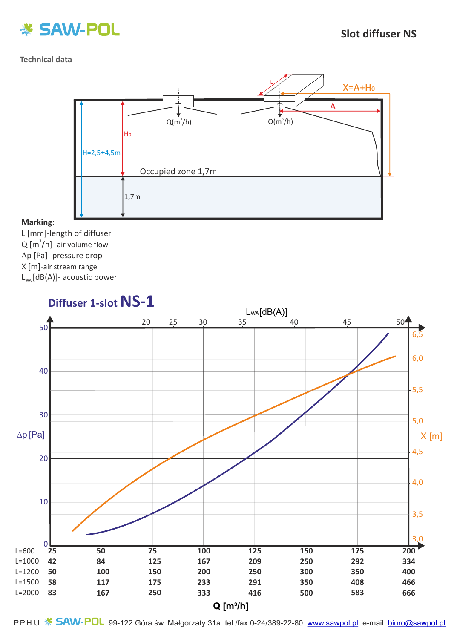

# **Technical data**



# **Marking:**

L [mm]-length of diffuser  $\Delta p$  [Pa]- pressure drop X [m]- air stream range  $L_{wa}$  [dB(A)]- acoustic power  $Q [m^3/h]$ - air volume flow

# **Diffuser 1-slotNS-1**



P.P.H.U. **5AW-POL** 99-122 Góra św. Małgorzaty 31a tel./fax 0-24/389-22-80 www.sawpol.pl e-mail: biuro@sawpol.pl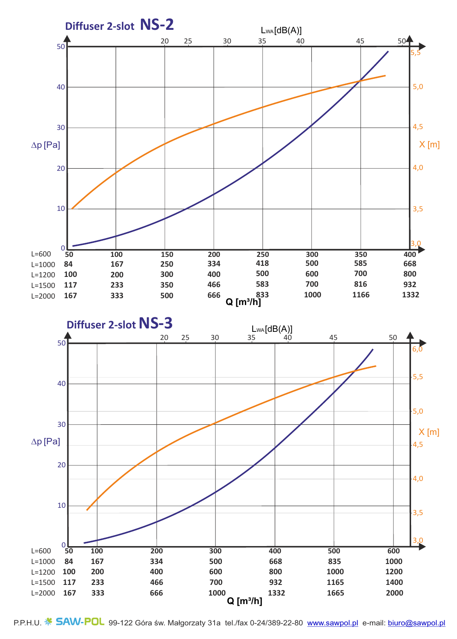



P.P.H.U. **5AW-POL** 99-122 Góra św. Małgorzaty 31a tel./fax 0-24/389-22-80 www.sawpol.pl e-mail: biuro@sawpol.pl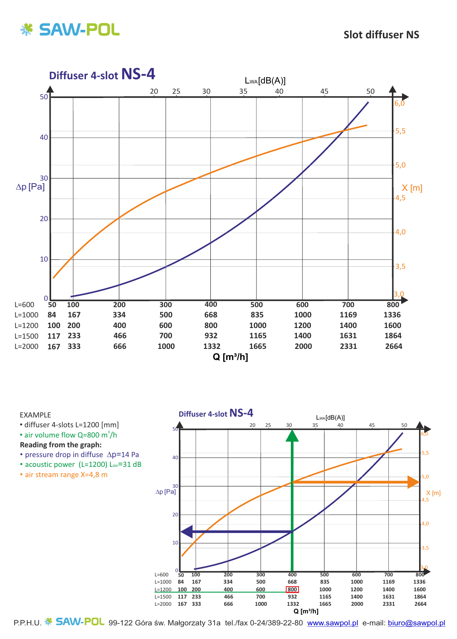

# **Slot diffuser NS**



## EXAMPLE

- diffuser 4-slots L=1200 [mm]
- air volume flow Q=800 m $\textsuperscript{3}/\textsf{h}$
- **Reading from the graph:**
- pressure drop in diffuse ∆p=14 Pa
- acoustic power (L=1200) LwA=31 dB
- air stream range X=4,8 m



P.P.H.U. **5AW-POL** 99-122 Góra św. Małgorzaty 31a tel./fax 0-24/389-22-80 www.sawpol.pl e-mail: biuro@sawpol.pl